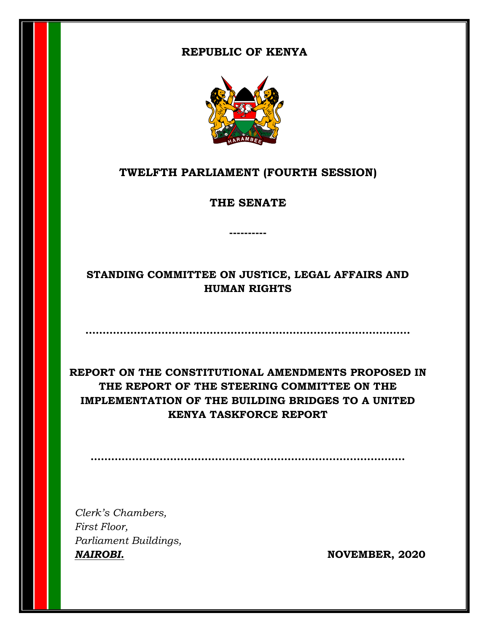## **REPUBLIC OF KENYA**



# **TWELFTH PARLIAMENT (FOURTH SESSION)**

**THE SENATE**

**----------**

# **STANDING COMMITTEE ON JUSTICE, LEGAL AFFAIRS AND HUMAN RIGHTS**

**………………………………………………………………………………….**

**REPORT ON THE CONSTITUTIONAL AMENDMENTS PROPOSED IN THE REPORT OF THE STEERING COMMITTEE ON THE IMPLEMENTATION OF THE BUILDING BRIDGES TO A UNITED KENYA TASKFORCE REPORT**

**……………………………………………………………………………….**

*Clerk's Chambers, First Floor, Parliament Buildings, NAIROBI.* **NOVEMBER, 2020**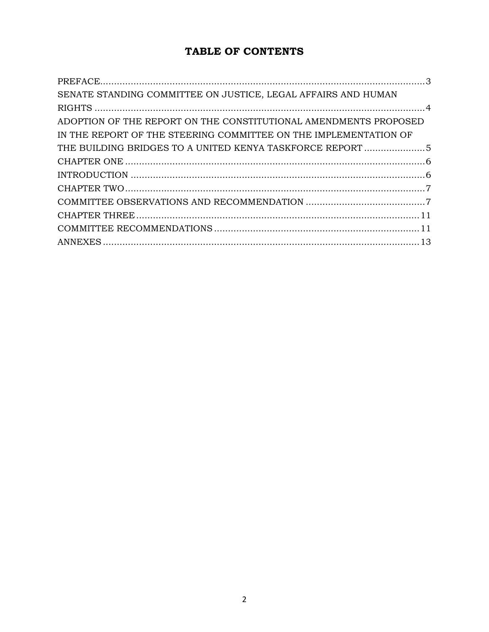# TABLE OF CONTENTS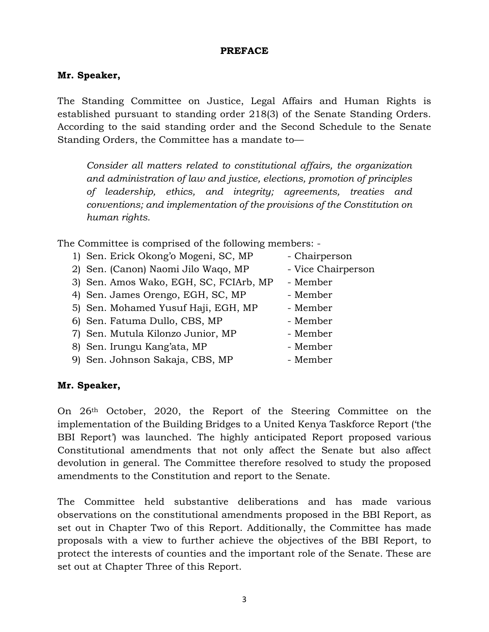#### **PREFACE**

#### <span id="page-2-0"></span>**Mr. Speaker,**

The Standing Committee on Justice, Legal Affairs and Human Rights is established pursuant to standing order 218(3) of the Senate Standing Orders. According to the said standing order and the Second Schedule to the Senate Standing Orders, the Committee has a mandate to—

*Consider all matters related to constitutional affairs, the organization and administration of law and justice, elections, promotion of principles of leadership, ethics, and integrity; agreements, treaties and conventions; and implementation of the provisions of the Constitution on human rights.*

The Committee is comprised of the following members: -

- 1) Sen. Erick Okong'o Mogeni, SC, MP Chairperson
- 2) Sen. (Canon) Naomi Jilo Waqo, MP Vice Chairperson
- 3) Sen. Amos Wako, EGH, SC, FCIArb, MP Member
- 4) Sen. James Orengo, EGH, SC, MP Member
- 5) Sen. Mohamed Yusuf Haji, EGH, MP Member
- 6) Sen. Fatuma Dullo, CBS, MP Member
- 7) Sen. Mutula Kilonzo Junior, MP Member
- 8) Sen. Irungu Kang'ata, MP Member
- 9) Sen. Johnson Sakaja, CBS, MP Member
- 
- 
- 
- 
- 
- 
- 
- 
- 

## **Mr. Speaker,**

On 26th October, 2020, the Report of the Steering Committee on the implementation of the Building Bridges to a United Kenya Taskforce Report ('the BBI Report') was launched. The highly anticipated Report proposed various Constitutional amendments that not only affect the Senate but also affect devolution in general. The Committee therefore resolved to study the proposed amendments to the Constitution and report to the Senate.

The Committee held substantive deliberations and has made various observations on the constitutional amendments proposed in the BBI Report, as set out in Chapter Two of this Report. Additionally, the Committee has made proposals with a view to further achieve the objectives of the BBI Report, to protect the interests of counties and the important role of the Senate. These are set out at Chapter Three of this Report.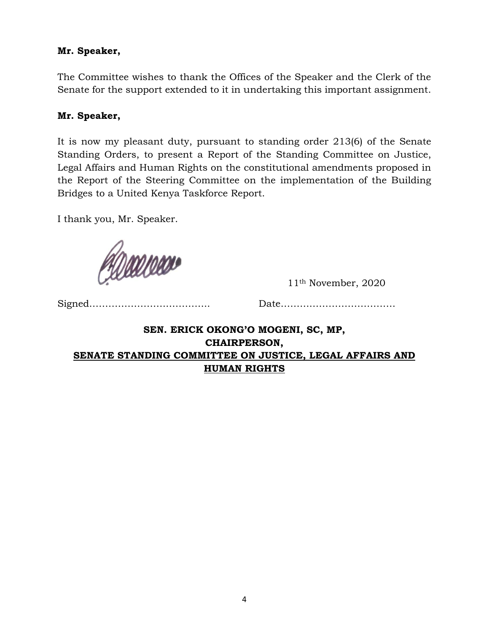#### **Mr. Speaker,**

The Committee wishes to thank the Offices of the Speaker and the Clerk of the Senate for the support extended to it in undertaking this important assignment.

#### **Mr. Speaker,**

It is now my pleasant duty, pursuant to standing order 213(6) of the Senate Standing Orders, to present a Report of the Standing Committee on Justice, Legal Affairs and Human Rights on the constitutional amendments proposed in the Report of the Steering Committee on the implementation of the Building Bridges to a United Kenya Taskforce Report.

I thank you, Mr. Speaker.

Paanoo

11th November, 2020

Signed……………………………….. Date………………………………

## <span id="page-3-0"></span>**SEN. ERICK OKONG'O MOGENI, SC, MP, CHAIRPERSON, SENATE STANDING COMMITTEE ON JUSTICE, LEGAL AFFAIRS AND HUMAN RIGHTS**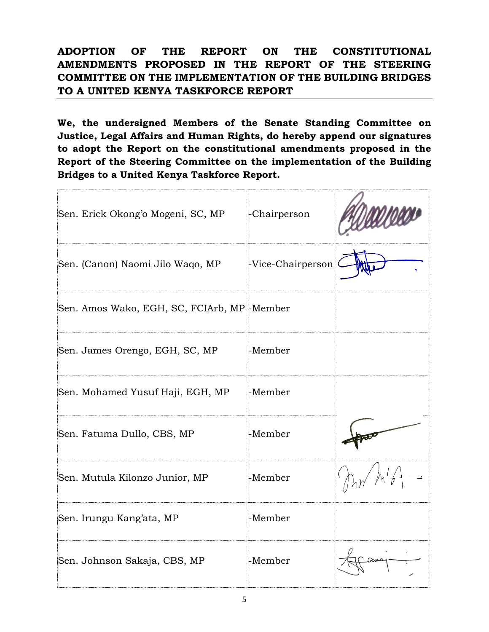<span id="page-4-0"></span>**ADOPTION OF THE REPORT ON THE CONSTITUTIONAL AMENDMENTS PROPOSED IN THE REPORT OF THE STEERING COMMITTEE ON THE IMPLEMENTATION OF THE BUILDING BRIDGES TO A UNITED KENYA TASKFORCE REPORT**

**We, the undersigned Members of the Senate Standing Committee on Justice, Legal Affairs and Human Rights, do hereby append our signatures to adopt the Report on the constitutional amendments proposed in the Report of the Steering Committee on the implementation of the Building Bridges to a United Kenya Taskforce Report.**

| Sen. Erick Okong'o Mogeni, SC, MP          | -Chairperson      |  |
|--------------------------------------------|-------------------|--|
| Sen. (Canon) Naomi Jilo Waqo, MP           | -Vice-Chairperson |  |
| Sen. Amos Wako, EGH, SC, FCIArb, MP-Member |                   |  |
| Sen. James Orengo, EGH, SC, MP             | -Member           |  |
| Sen. Mohamed Yusuf Haji, EGH, MP           | -Member           |  |
| Sen. Fatuma Dullo, CBS, MP                 | -Member           |  |
| Sen. Mutula Kilonzo Junior, MP             | -Member           |  |
| Sen. Irungu Kang'ata, MP                   | -Member           |  |
| Sen. Johnson Sakaja, CBS, MP               | -Member           |  |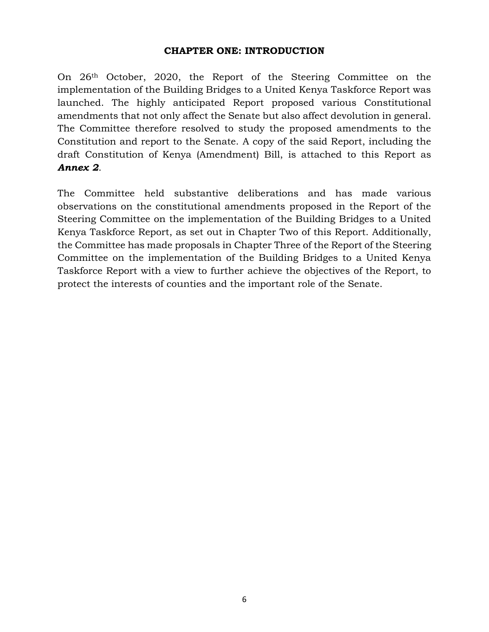#### <span id="page-5-1"></span>**CHAPTER ONE: INTRODUCTION**

<span id="page-5-0"></span>On 26th October, 2020, the Report of the Steering Committee on the implementation of the Building Bridges to a United Kenya Taskforce Report was launched. The highly anticipated Report proposed various Constitutional amendments that not only affect the Senate but also affect devolution in general. The Committee therefore resolved to study the proposed amendments to the Constitution and report to the Senate. A copy of the said Report, including the draft Constitution of Kenya (Amendment) Bill, is attached to this Report as *Annex 2*.

The Committee held substantive deliberations and has made various observations on the constitutional amendments proposed in the Report of the Steering Committee on the implementation of the Building Bridges to a United Kenya Taskforce Report, as set out in Chapter Two of this Report. Additionally, the Committee has made proposals in Chapter Three of the Report of the Steering Committee on the implementation of the Building Bridges to a United Kenya Taskforce Report with a view to further achieve the objectives of the Report, to protect the interests of counties and the important role of the Senate.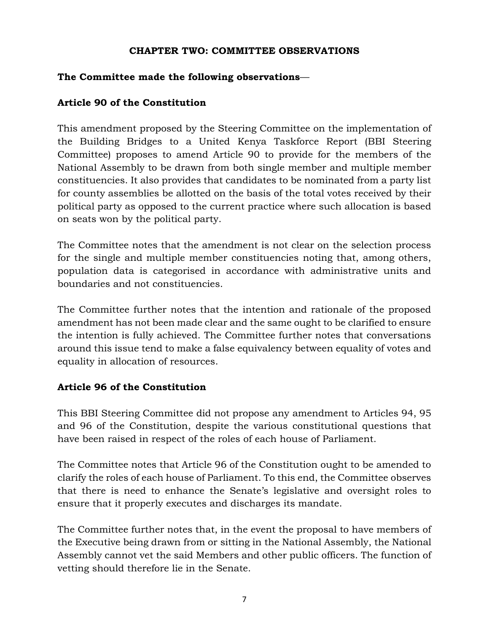#### <span id="page-6-1"></span>**CHAPTER TWO: COMMITTEE OBSERVATIONS**

### <span id="page-6-0"></span>**The Committee made the following observations**—

## **Article 90 of the Constitution**

This amendment proposed by the Steering Committee on the implementation of the Building Bridges to a United Kenya Taskforce Report (BBI Steering Committee) proposes to amend Article 90 to provide for the members of the National Assembly to be drawn from both single member and multiple member constituencies. It also provides that candidates to be nominated from a party list for county assemblies be allotted on the basis of the total votes received by their political party as opposed to the current practice where such allocation is based on seats won by the political party.

The Committee notes that the amendment is not clear on the selection process for the single and multiple member constituencies noting that, among others, population data is categorised in accordance with administrative units and boundaries and not constituencies.

The Committee further notes that the intention and rationale of the proposed amendment has not been made clear and the same ought to be clarified to ensure the intention is fully achieved. The Committee further notes that conversations around this issue tend to make a false equivalency between equality of votes and equality in allocation of resources.

## **Article 96 of the Constitution**

This BBI Steering Committee did not propose any amendment to Articles 94, 95 and 96 of the Constitution, despite the various constitutional questions that have been raised in respect of the roles of each house of Parliament.

The Committee notes that Article 96 of the Constitution ought to be amended to clarify the roles of each house of Parliament. To this end, the Committee observes that there is need to enhance the Senate's legislative and oversight roles to ensure that it properly executes and discharges its mandate.

The Committee further notes that, in the event the proposal to have members of the Executive being drawn from or sitting in the National Assembly, the National Assembly cannot vet the said Members and other public officers. The function of vetting should therefore lie in the Senate.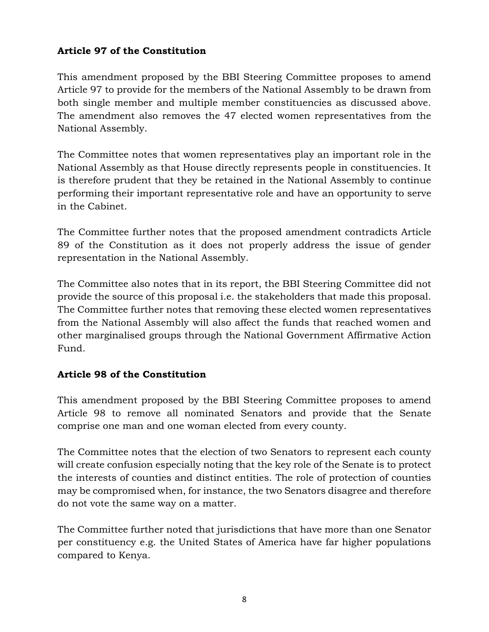## **Article 97 of the Constitution**

This amendment proposed by the BBI Steering Committee proposes to amend Article 97 to provide for the members of the National Assembly to be drawn from both single member and multiple member constituencies as discussed above. The amendment also removes the 47 elected women representatives from the National Assembly.

The Committee notes that women representatives play an important role in the National Assembly as that House directly represents people in constituencies. It is therefore prudent that they be retained in the National Assembly to continue performing their important representative role and have an opportunity to serve in the Cabinet.

The Committee further notes that the proposed amendment contradicts Article 89 of the Constitution as it does not properly address the issue of gender representation in the National Assembly.

The Committee also notes that in its report, the BBI Steering Committee did not provide the source of this proposal i.e. the stakeholders that made this proposal. The Committee further notes that removing these elected women representatives from the National Assembly will also affect the funds that reached women and other marginalised groups through the National Government Affirmative Action Fund.

## **Article 98 of the Constitution**

This amendment proposed by the BBI Steering Committee proposes to amend Article 98 to remove all nominated Senators and provide that the Senate comprise one man and one woman elected from every county.

The Committee notes that the election of two Senators to represent each county will create confusion especially noting that the key role of the Senate is to protect the interests of counties and distinct entities. The role of protection of counties may be compromised when, for instance, the two Senators disagree and therefore do not vote the same way on a matter.

The Committee further noted that jurisdictions that have more than one Senator per constituency e.g. the United States of America have far higher populations compared to Kenya.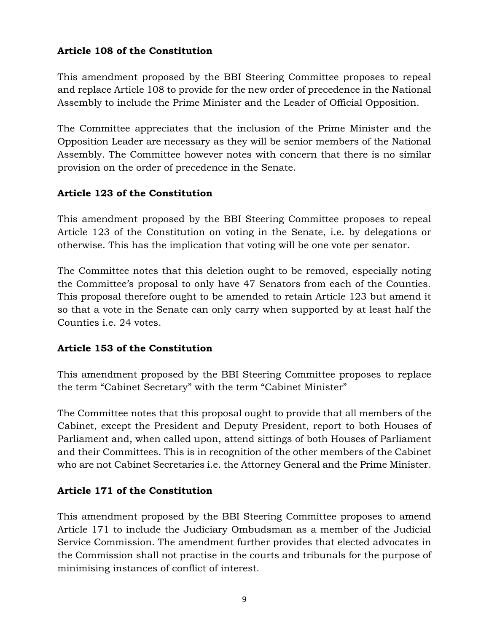## **Article 108 of the Constitution**

This amendment proposed by the BBI Steering Committee proposes to repeal and replace Article 108 to provide for the new order of precedence in the National Assembly to include the Prime Minister and the Leader of Official Opposition.

The Committee appreciates that the inclusion of the Prime Minister and the Opposition Leader are necessary as they will be senior members of the National Assembly. The Committee however notes with concern that there is no similar provision on the order of precedence in the Senate.

## **Article 123 of the Constitution**

This amendment proposed by the BBI Steering Committee proposes to repeal Article 123 of the Constitution on voting in the Senate, i.e. by delegations or otherwise. This has the implication that voting will be one vote per senator.

The Committee notes that this deletion ought to be removed, especially noting the Committee's proposal to only have 47 Senators from each of the Counties. This proposal therefore ought to be amended to retain Article 123 but amend it so that a vote in the Senate can only carry when supported by at least half the Counties i.e. 24 votes.

## **Article 153 of the Constitution**

This amendment proposed by the BBI Steering Committee proposes to replace the term "Cabinet Secretary" with the term "Cabinet Minister"

The Committee notes that this proposal ought to provide that all members of the Cabinet, except the President and Deputy President, report to both Houses of Parliament and, when called upon, attend sittings of both Houses of Parliament and their Committees. This is in recognition of the other members of the Cabinet who are not Cabinet Secretaries i.e. the Attorney General and the Prime Minister.

## **Article 171 of the Constitution**

This amendment proposed by the BBI Steering Committee proposes to amend Article 171 to include the Judiciary Ombudsman as a member of the Judicial Service Commission. The amendment further provides that elected advocates in the Commission shall not practise in the courts and tribunals for the purpose of minimising instances of conflict of interest.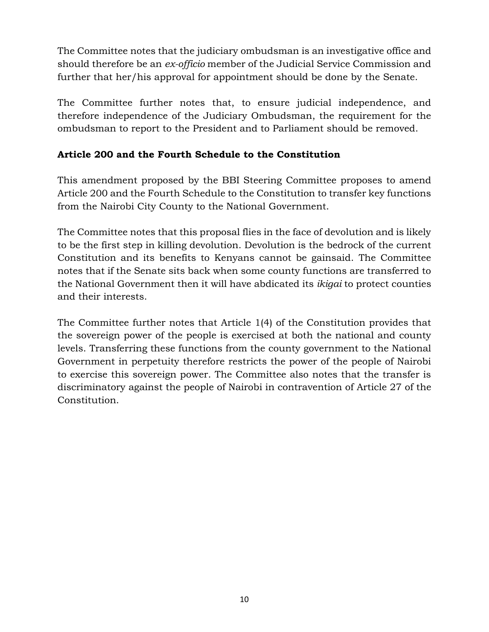The Committee notes that the judiciary ombudsman is an investigative office and should therefore be an *ex-officio* member of the Judicial Service Commission and further that her/his approval for appointment should be done by the Senate.

The Committee further notes that, to ensure judicial independence, and therefore independence of the Judiciary Ombudsman, the requirement for the ombudsman to report to the President and to Parliament should be removed.

## **Article 200 and the Fourth Schedule to the Constitution**

This amendment proposed by the BBI Steering Committee proposes to amend Article 200 and the Fourth Schedule to the Constitution to transfer key functions from the Nairobi City County to the National Government.

The Committee notes that this proposal flies in the face of devolution and is likely to be the first step in killing devolution. Devolution is the bedrock of the current Constitution and its benefits to Kenyans cannot be gainsaid. The Committee notes that if the Senate sits back when some county functions are transferred to the National Government then it will have abdicated its *ikigai* to protect counties and their interests.

The Committee further notes that Article 1(4) of the Constitution provides that the sovereign power of the people is exercised at both the national and county levels. Transferring these functions from the county government to the National Government in perpetuity therefore restricts the power of the people of Nairobi to exercise this sovereign power. The Committee also notes that the transfer is discriminatory against the people of Nairobi in contravention of Article 27 of the Constitution.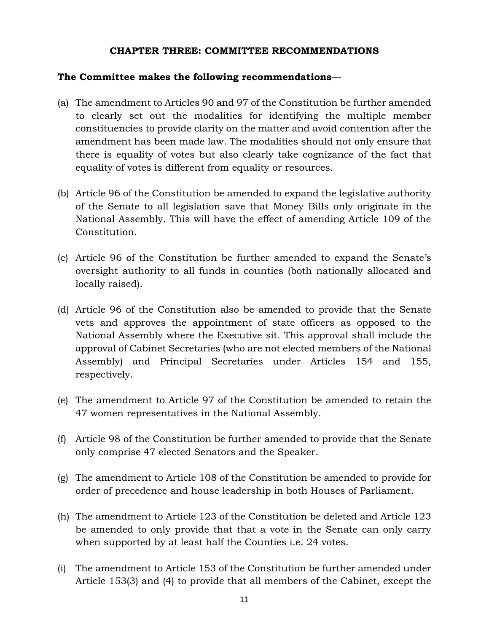#### <span id="page-10-1"></span>**CHAPTER THREE: COMMITTEE RECOMMENDATIONS**

#### <span id="page-10-0"></span>**The Committee makes the following recommendations**—

- (a) The amendment to Articles 90 and 97 of the Constitution be further amended to clearly set out the modalities for identifying the multiple member constituencies to provide clarity on the matter and avoid contention after the amendment has been made law. The modalities should not only ensure that there is equality of votes but also clearly take cognizance of the fact that equality of votes is different from equality or resources.
- (b) Article 96 of the Constitution be amended to expand the legislative authority of the Senate to all legislation save that Money Bills only originate in the National Assembly. This will have the effect of amending Article 109 of the Constitution.
- (c) Article 96 of the Constitution be further amended to expand the Senate's oversight authority to all funds in counties (both nationally allocated and locally raised).
- (d) Article 96 of the Constitution also be amended to provide that the Senate vets and approves the appointment of state officers as opposed to the National Assembly where the Executive sit. This approval shall include the approval of Cabinet Secretaries (who are not elected members of the National Assembly) and Principal Secretaries under Articles 154 and 155, respectively.
- (e) The amendment to Article 97 of the Constitution be amended to retain the 47 women representatives in the National Assembly.
- (f) Article 98 of the Constitution be further amended to provide that the Senate only comprise 47 elected Senators and the Speaker.
- (g) The amendment to Article 108 of the Constitution be amended to provide for order of precedence and house leadership in both Houses of Parliament.
- (h) The amendment to Article 123 of the Constitution be deleted and Article 123 be amended to only provide that that a vote in the Senate can only carry when supported by at least half the Counties i.e. 24 votes.
- (i) The amendment to Article 153 of the Constitution be further amended under Article 153(3) and (4) to provide that all members of the Cabinet, except the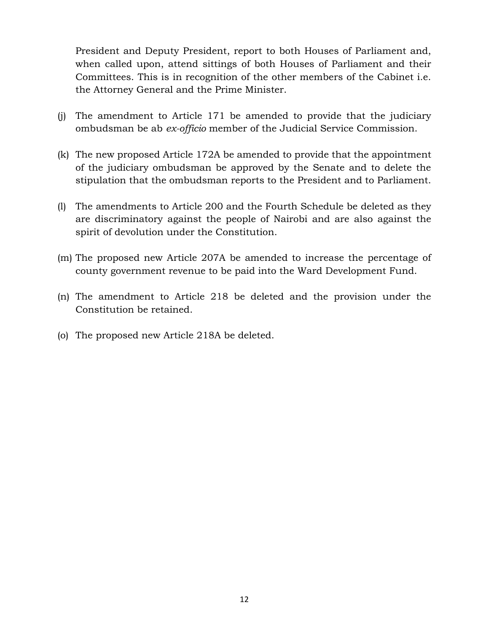President and Deputy President, report to both Houses of Parliament and, when called upon, attend sittings of both Houses of Parliament and their Committees. This is in recognition of the other members of the Cabinet i.e. the Attorney General and the Prime Minister.

- (j) The amendment to Article 171 be amended to provide that the judiciary ombudsman be ab *ex-officio* member of the Judicial Service Commission.
- (k) The new proposed Article 172A be amended to provide that the appointment of the judiciary ombudsman be approved by the Senate and to delete the stipulation that the ombudsman reports to the President and to Parliament.
- (l) The amendments to Article 200 and the Fourth Schedule be deleted as they are discriminatory against the people of Nairobi and are also against the spirit of devolution under the Constitution.
- (m) The proposed new Article 207A be amended to increase the percentage of county government revenue to be paid into the Ward Development Fund.
- (n) The amendment to Article 218 be deleted and the provision under the Constitution be retained.
- (o) The proposed new Article 218A be deleted.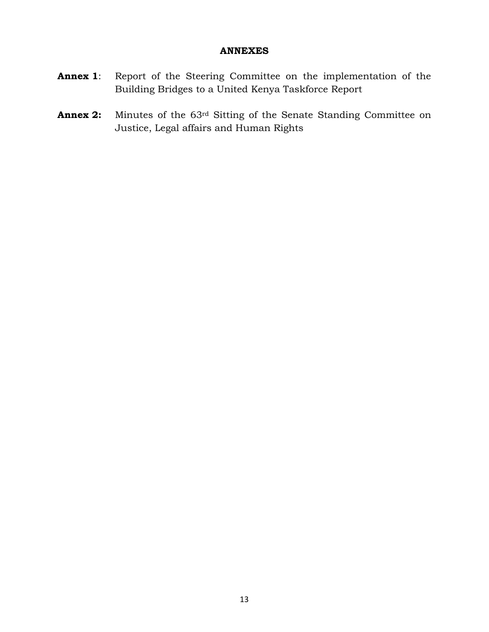#### **ANNEXES**

- <span id="page-12-0"></span>**Annex 1**: Report of the Steering Committee on the implementation of the Building Bridges to a United Kenya Taskforce Report
- **Annex 2:** Minutes of the 63<sup>rd</sup> Sitting of the Senate Standing Committee on Justice, Legal affairs and Human Rights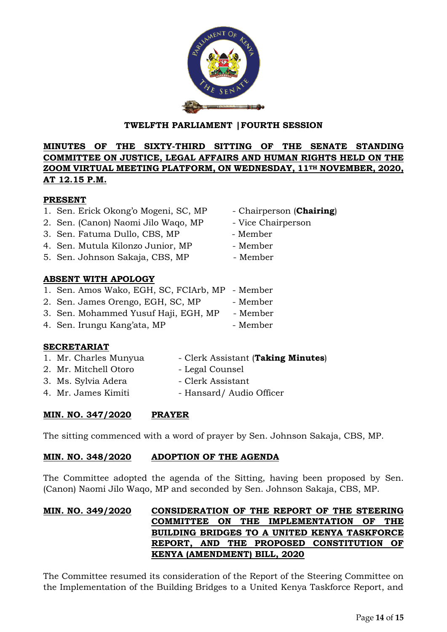## **TWELFTH PARLIAMENT |FOURTH SESSION**

#### **MINUTES OF THE SIXTY-THIRD SITTING OF THE SENATE STANDING COMMITTEE ON JUSTICE, LEGAL AFFAIRS AND HUMAN RIGHTS HELD ON THE ZOOM VIRTUAL MEETING PLATFORM, ON WEDNESDAY, 11TH NOVEMBER, 2020, AT 12.15 P.M.**

#### **PRESENT**

- 1. Sen. Erick Okong'o Mogeni, SC, MP Chairperson (**Chairing**)
- 2. Sen. (Canon) Naomi Jilo Wago, MP Vice Chairperson
- 3. Sen. Fatuma Dullo, CBS, MP Member
- 4. Sen. Mutula Kilonzo Junior, MP Member
- 5. Sen. Johnson Sakaja, CBS, MP Member

## **ABSENT WITH APOLOGY**

- 1. Sen. Amos Wako, EGH, SC, FCIArb, MP Member
- 2. Sen. James Orengo, EGH, SC, MP Member
- 3. Sen. Mohammed Yusuf Haji, EGH, MP Member
- 4. Sen. Irungu Kang'ata, MP Member

## **SECRETARIAT**

- 1. Mr. Charles Munyua Clerk Assistant (Taking Minutes)
- 2. Mr. Mitchell Otoro Legal Counsel
	-
- 3. Ms. Sylvia Adera Clerk Assistant
- 4. Mr. James Kimiti Hansard/ Audio Officer

## **MIN. NO. 347/2020 PRAYER**

The sitting commenced with a word of prayer by Sen. Johnson Sakaja, CBS, MP.

## **MIN. NO. 348/2020 ADOPTION OF THE AGENDA**

The Committee adopted the agenda of the Sitting, having been proposed by Sen. (Canon) Naomi Jilo Waqo, MP and seconded by Sen. Johnson Sakaja, CBS, MP.

#### **MIN. NO. 349/2020 CONSIDERATION OF THE REPORT OF THE STEERING COMMITTEE ON THE IMPLEMENTATION OF THE BUILDING BRIDGES TO A UNITED KENYA TASKFORCE REPORT, AND THE PROPOSED CONSTITUTION OF KENYA (AMENDMENT) BILL, 2020**

The Committee resumed its consideration of the Report of the Steering Committee on the Implementation of the Building Bridges to a United Kenya Taskforce Report, and



- 
- 
- 
- 
-